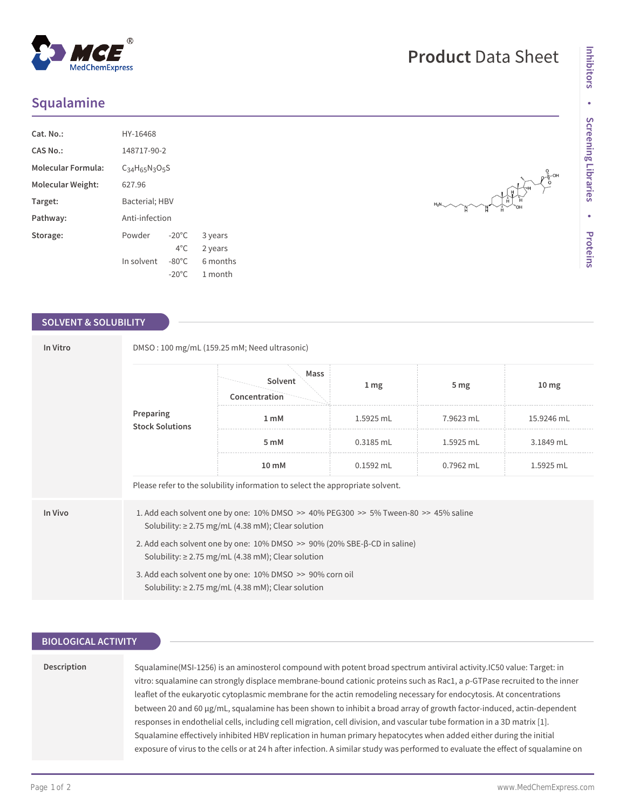# **Squalamine**

| $Cat. No.$ :              | HY-16468       |                 |          |  |  |  |
|---------------------------|----------------|-----------------|----------|--|--|--|
| CAS No.:                  | 148717-90-2    |                 |          |  |  |  |
| <b>Molecular Formula:</b> | $C34H65N3O5S$  |                 |          |  |  |  |
| Molecular Weight:         | 627.96         |                 |          |  |  |  |
| Target:                   | Bacterial; HBV |                 |          |  |  |  |
| Pathway:                  | Anti-infection |                 |          |  |  |  |
| Storage:                  | Powder         | $-20^{\circ}$ C | 3 years  |  |  |  |
|                           |                | $4^{\circ}$ C.  | 2 years  |  |  |  |
|                           | In solvent     | $-80^{\circ}$ C | 6 months |  |  |  |
|                           |                | $-20^{\circ}$ C | 1 month  |  |  |  |

### **SOLVENT & SOLUBILITY**

| In Vitro  | DMSO: 100 mg/mL (159.25 mM; Need ultrasonic)                                                                                                      |                                                                                                                                                      |             |                 |                  |  |  |
|-----------|---------------------------------------------------------------------------------------------------------------------------------------------------|------------------------------------------------------------------------------------------------------------------------------------------------------|-------------|-----------------|------------------|--|--|
| Preparing | <b>Stock Solutions</b>                                                                                                                            | Mass<br>Solvent<br>Concentration                                                                                                                     | 1 mg        | 5 <sub>mg</sub> | 10 <sub>mg</sub> |  |  |
|           |                                                                                                                                                   | 1 <sub>m</sub> M                                                                                                                                     | 1.5925 mL   | 7.9623 mL       | 15.9246 mL       |  |  |
|           |                                                                                                                                                   | 5 mM                                                                                                                                                 | 0.3185 mL   | 1.5925 mL       | 3.1849 mL        |  |  |
|           |                                                                                                                                                   | $10 \text{ mM}$                                                                                                                                      | $0.1592$ mL | $0.7962$ mL     | 1.5925 mL        |  |  |
|           | Please refer to the solubility information to select the appropriate solvent.                                                                     |                                                                                                                                                      |             |                 |                  |  |  |
| In Vivo   |                                                                                                                                                   | 1. Add each solvent one by one: $10\%$ DMSO >> $40\%$ PEG300 >> 5% Tween-80 >> 45% saline<br>Solubility: $\geq$ 2.75 mg/mL (4.38 mM); Clear solution |             |                 |                  |  |  |
|           | 2. Add each solvent one by one: $10\%$ DMSO $\gg$ 90% (20% SBE- $\beta$ -CD in saline)<br>Solubility: $\geq$ 2.75 mg/mL (4.38 mM); Clear solution |                                                                                                                                                      |             |                 |                  |  |  |
|           | 3. Add each solvent one by one: 10% DMSO >> 90% corn oil<br>Solubility: $\geq$ 2.75 mg/mL (4.38 mM); Clear solution                               |                                                                                                                                                      |             |                 |                  |  |  |

## **BIOLOGICAL ACTIVITY**

#### **Description**

Squalamine(MSI-1256) is an aminosterol compound with potent broad spectrum antiviral activity.IC50 value: Target: in vitro: squalamine can strongly displace membrane-bound cationic proteins such as Rac1, a ρ-GTPase recruited to the inner leaflet of the eukaryotic cytoplasmic membrane for the actin remodeling necessary for endocytosis. At concentrations between 20 and 60 μg/mL, squalamine has been shown to inhibit a broad array of growth factor-induced, actin-dependent responses in endothelial cells, including cell migration, cell division, and vascular tube formation in a 3D matrix [1]. Squalamine effectively inhibited HBV replication in human primary hepatocytes when added either during the initial exposure of virus to the cells or at 24 h after infection. A similar study was performed to evaluate the effect of squalamine on

# **Product** Data Sheet

 $\frac{1}{2}$